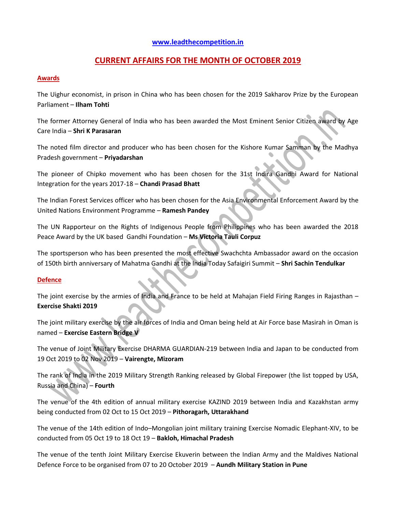# **[www.leadthecompetition.in](http://www.leadthecompetition.in/)**

# **CURRENT AFFAIRS FOR THE MONTH OF OCTOBER 2019**

### **Awards**

The Uighur economist, in prison in China who has been chosen for the 2019 Sakharov Prize by the European Parliament – **Ilham Tohti**

The former Attorney General of India who has been awarded the Most Eminent Senior Citizen award by Age Care India – **Shri K Parasaran**

The noted film director and producer who has been chosen for the Kishore Kumar Samman by the Madhya Pradesh government – **Priyadarshan**

The pioneer of Chipko movement who has been chosen for the 31st Indira Gandhi Award for National Integration for the years 2017-18 – **Chandi Prasad Bhatt**

The Indian Forest Services officer who has been chosen for the Asia Environmental Enforcement Award by the United Nations Environment Programme – **Ramesh Pandey**

The UN Rapporteur on the Rights of Indigenous People from Philippines who has been awarded the 2018 Peace Award by the UK based Gandhi Foundation – **Ms Victoria Tauli Corpuz**

The sportsperson who has been presented the most effective Swachchta Ambassador award on the occasion of 150th birth anniversary of Mahatma Gandhi at the India Today Safaigiri Summit – **Shri Sachin Tendulkar**

### **Defence**

The joint exercise by the armies of India and France to be held at Mahajan Field Firing Ranges in Rajasthan – **Exercise Shakti 2019**

The joint military exercise by the air forces of India and Oman being held at Air Force base Masirah in Oman is named – **Exercise Eastern Bridge V**

The venue of Joint Military Exercise DHARMA GUARDIAN-219 between India and Japan to be conducted from 19 Oct 2019 to 02 Nov 2019 – **Vairengte, Mizoram**

The rank of India in the 2019 Military Strength Ranking released by Global Firepower (the list topped by USA, Russia and China) – **Fourth**

The venue of the 4th edition of annual military exercise KAZIND 2019 between India and Kazakhstan army being conducted from 02 Oct to 15 Oct 2019 – **Pithoragarh, Uttarakhand**

The venue of the 14th edition of Indo–Mongolian joint military training Exercise Nomadic Elephant-XIV, to be conducted from 05 Oct 19 to 18 Oct 19 – **Bakloh, Himachal Pradesh**

The venue of the tenth Joint Military Exercise Ekuverin between the Indian Army and the Maldives National Defence Force to be organised from 07 to 20 October 2019 – **Aundh Military Station in Pune**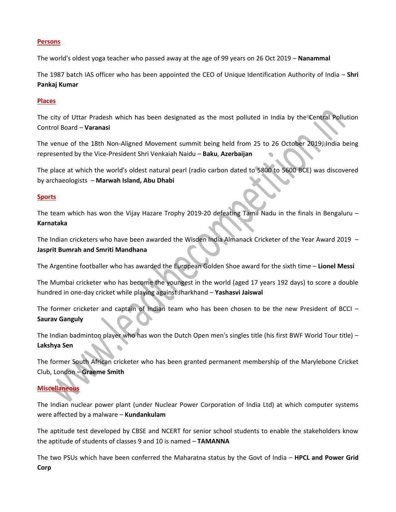#### **Persons**

The world's oldest yoga teacher who passed away at the age of 99 years on 26 Oct 2019 – **Nanammal**

The 1987 batch IAS officer who has been appointed the CEO of Unique Identification Authority of India – **Shri Pankaj Kumar**

#### **Places**

The city of Uttar Pradesh which has been designated as the most polluted in India by the Central Pollution Control Board – **Varanasi**

The venue of the 18th Non-Aligned Movement summit being held from 25 to 26 October 2019, India being represented by the Vice-President Shri Venkaiah Naidu – **Baku**, **Azerbaijan**

The place at which the world's oldest natural pearl (radio carbon dated to 5800 to 5600 BCE) was discovered by archaeologists – **Marwah Island, Abu Dhabi**

### **Sports**

The team which has won the Vijay Hazare Trophy 2019-20 defeating Tamil Nadu in the finals in Bengaluru – **Karnataka**

The Indian cricketers who have been awarded the Wisden India Almanack Cricketer of the Year Award 2019 – **Jasprit Bumrah and Smriti Mandhana**

The Argentine footballer who has awarded the European Golden Shoe award for the sixth time – **Lionel Messi**

The Mumbai cricketer who has become the youngest in the world (aged 17 years 192 days) to score a double hundred in one-day cricket while playing against Jharkhand – **Yashasvi Jaiswal**

The former cricketer and captain of Indian team who has been chosen to be the new President of BCCI – **Saurav Ganguly**

The Indian badminton player who has won the Dutch Open men's singles title (his first BWF World Tour title) – **Lakshya Sen**

The former South African cricketer who has been granted permanent membership of the Marylebone Cricket Club, London – **Graeme Smith**

# **Miscellaneous**

The Indian nuclear power plant (under Nuclear Power Corporation of India Ltd) at which computer systems were affected by a malware – **Kundankulam**

The aptitude test developed by CBSE and NCERT for senior school students to enable the stakeholders know the aptitude of students of classes 9 and 10 is named – **TAMANNA**

The two PSUs which have been conferred the Maharatna status by the Govt of India – **HPCL and Power Grid Corp**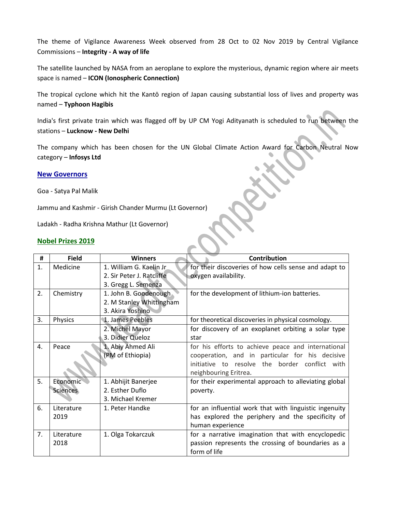The theme of Vigilance Awareness Week observed from 28 Oct to 02 Nov 2019 by Central Vigilance Commissions – **Integrity - A way of life**

The satellite launched by NASA from an aeroplane to explore the mysterious, dynamic region where air meets space is named – **ICON (Ionospheric Connection)**

The tropical cyclone which hit the Kantō region of Japan causing substantial loss of lives and property was named – **Typhoon Hagibis**

India's first private train which was flagged off by UP CM Yogi Adityanath is scheduled to run between the stations – **Lucknow - New Delhi**

The company which has been chosen for the UN Global Climate Action Award for Carbon Neutral Now category – **Infosys Ltd**

### **New Governors**

Goa - Satya Pal Malik

Jammu and Kashmir - Girish Chander Murmu (Lt Governor)

Ladakh - Radha Krishna Mathur (Lt Governor)

### **Nobel Prizes 2019**

| #  | <b>Field</b>    | <b>Winners</b>            | <b>Contribution</b>                                    |
|----|-----------------|---------------------------|--------------------------------------------------------|
| 1. | Medicine        | 1. William G. Kaelin Jr   | for their discoveries of how cells sense and adapt to  |
|    |                 | 2. Sir Peter J. Ratcliffe | oxygen availability.                                   |
|    |                 | 3. Gregg L. Semenza       |                                                        |
| 2. | Chemistry       | 1. John B. Goodenough     | for the development of lithium-ion batteries.          |
|    |                 | 2. M Stanley Whittingham  |                                                        |
|    |                 | 3. Akira Yoshino          |                                                        |
| 3. | Physics         | 1. James Peebles          | for theoretical discoveries in physical cosmology.     |
|    |                 | 2. Michel Mayor           | for discovery of an exoplanet orbiting a solar type    |
|    |                 | 3. Didier Queloz          | star                                                   |
| 4. | Peace           | 1. Abiy Ahmed Ali         | for his efforts to achieve peace and international     |
|    |                 | (PM of Ethiopia)          | cooperation, and in particular for his decisive        |
|    |                 |                           | initiative to resolve the border conflict with         |
|    |                 |                           | neighbouring Eritrea.                                  |
| 5. | Economic        | 1. Abhijit Banerjee       | for their experimental approach to alleviating global  |
|    | <b>Sciences</b> | 2. Esther Duflo           | poverty.                                               |
|    |                 | 3. Michael Kremer         |                                                        |
| 6. | Literature      | 1. Peter Handke           | for an influential work that with linguistic ingenuity |
|    | 2019            |                           | has explored the periphery and the specificity of      |
|    |                 |                           | human experience                                       |
| 7. | Literature      | 1. Olga Tokarczuk         | for a narrative imagination that with encyclopedic     |
|    | 2018            |                           | passion represents the crossing of boundaries as a     |
|    |                 |                           | form of life                                           |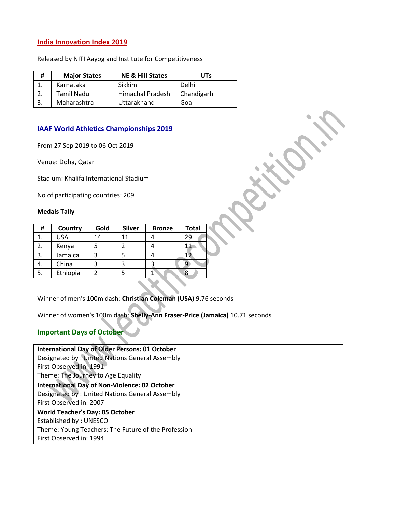# **India Innovation Index 2019**

Released by NITI Aayog and Institute for Competitiveness

| # | <b>Major States</b> | <b>NE &amp; Hill States</b> | <b>UTs</b> |
|---|---------------------|-----------------------------|------------|
|   | Karnataka           | Sikkim                      | Delhi      |
|   | Tamil Nadu          | Himachal Pradesh            | Chandigarh |
|   | Maharashtra         | Uttarakhand                 | Goa        |

# **IAAF World Athletics Championships 2019**

From 27 Sep 2019 to 06 Oct 2019

Venue: Doha, Qatar

Stadium: Khalifa International Stadium

No of participating countries: 209

#### **Medals Tally**

| #  | Country    | Gold | <b>Silver</b> | <b>Bronze</b> | <b>Total</b> |
|----|------------|------|---------------|---------------|--------------|
|    | <b>USA</b> | 14   | 11            |               | 29           |
| 2. | Kenya      |      |               |               |              |
| 3. | Jamaica    |      |               |               |              |
| 4. | China      |      |               |               |              |
| 5. | Ethiopia   |      |               |               | 8            |
|    |            |      |               |               |              |

Winner of men's 100m dash: **Christian Coleman (USA)** 9.76 seconds

Winner of women's 100m dash: **Shelly-Ann Fraser-Price (Jamaica)** 10.71 seconds

# **Important Days of October**

| <b>International Day of Older Persons: 01 October</b> |
|-------------------------------------------------------|
| Designated by: United Nations General Assembly        |
| First Observed in: 1991                               |
| Theme: The Journey to Age Equality                    |
| <b>International Day of Non-Violence: 02 October</b>  |
| Designated by: United Nations General Assembly        |
| First Observed in: 2007                               |
| <b>World Teacher's Day: 05 October</b>                |
| Established by: UNESCO                                |
| Theme: Young Teachers: The Future of the Profession   |
| First Observed in: 1994                               |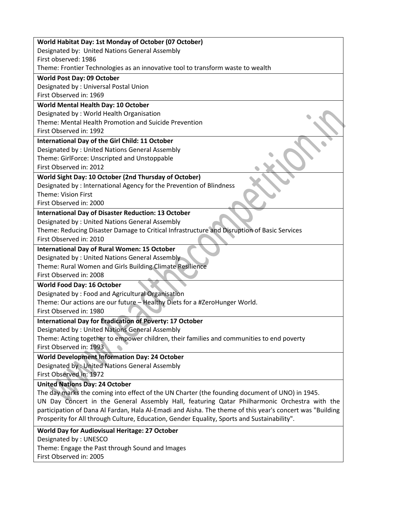| World Habitat Day: 1st Monday of October (07 October)                                                    |
|----------------------------------------------------------------------------------------------------------|
| Designated by: United Nations General Assembly                                                           |
| First observed: 1986                                                                                     |
| Theme: Frontier Technologies as an innovative tool to transform waste to wealth                          |
| <b>World Post Day: 09 October</b>                                                                        |
| Designated by: Universal Postal Union                                                                    |
| First Observed in: 1969                                                                                  |
| World Mental Health Day: 10 October                                                                      |
| Designated by: World Health Organisation                                                                 |
| Theme: Mental Health Promotion and Suicide Prevention                                                    |
| First Observed in: 1992                                                                                  |
| International Day of the Girl Child: 11 October                                                          |
| Designated by: United Nations General Assembly                                                           |
| Theme: GirlForce: Unscripted and Unstoppable                                                             |
| First Observed in: 2012                                                                                  |
| World Sight Day: 10 October (2nd Thursday of October)                                                    |
| Designated by: International Agency for the Prevention of Blindness                                      |
| Theme: Vision First                                                                                      |
| First Observed in: 2000                                                                                  |
| <b>International Day of Disaster Reduction: 13 October</b>                                               |
| Designated by: United Nations General Assembly                                                           |
| Theme: Reducing Disaster Damage to Critical Infrastructure and Disruption of Basic Services              |
| First Observed in: 2010                                                                                  |
| <b>International Day of Rural Women: 15 October</b>                                                      |
| Designated by: United Nations General Assembly                                                           |
|                                                                                                          |
| Theme: Rural Women and Girls Building Climate Resilience<br>First Observed in: 2008                      |
|                                                                                                          |
| <b>World Food Day: 16 October</b>                                                                        |
| Designated by: Food and Agricultural Organisation                                                        |
| Theme: Our actions are our future - Healthy Diets for a #ZeroHunger World.                               |
| First Observed in: 1980                                                                                  |
| <b>International Day for Eradication of Poverty: 17 October</b>                                          |
| Designated by: United Nations General Assembly                                                           |
| Theme: Acting together to empower children, their families and communities to end poverty                |
| First Observed in: 1993                                                                                  |
| <b>World Development Information Day: 24 October</b>                                                     |
| Designated by: United Nations General Assembly                                                           |
| First Observed in: 1972                                                                                  |
| <b>United Nations Day: 24 October</b>                                                                    |
| The day marks the coming into effect of the UN Charter (the founding document of UNO) in 1945.           |
| UN Day Concert in the General Assembly Hall, featuring Qatar Philharmonic Orchestra with the             |
| participation of Dana Al Fardan, Hala Al-Emadi and Aisha. The theme of this year's concert was "Building |
| Prosperity for All through Culture, Education, Gender Equality, Sports and Sustainability".              |
| World Day for Audiovisual Heritage: 27 October                                                           |
| Designated by: UNESCO                                                                                    |
| Theme: Engage the Past through Sound and Images                                                          |
| First Observed in: 2005                                                                                  |
|                                                                                                          |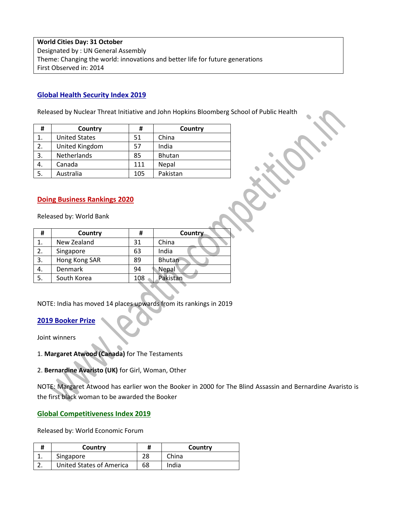**World Cities Day: 31 October** Designated by : UN General Assembly Theme: Changing the world: innovations and better life for future generations First Observed in: 2014

## **Global Health Security Index 2019**

Released by Nuclear Threat Initiative and John Hopkins Bloomberg School of Public Health

| #  | Country              | #   | Country       |
|----|----------------------|-----|---------------|
| 1. | <b>United States</b> | 51  | China         |
| 2. | United Kingdom       | 57  | India         |
| 3. | Netherlands          | 85  | <b>Bhutan</b> |
| 4. | Canada               | 111 | Nepal         |
| 5. | Australia            | 105 | Pakistan      |

### **Doing Business Rankings 2020**

Released by: World Bank

| #  | Country       | #   | Country       |
|----|---------------|-----|---------------|
| 1. | New Zealand   | 31  | China         |
| 2. | Singapore     | 63  | India         |
| 3. | Hong Kong SAR | 89  | <b>Bhutan</b> |
| 4. | Denmark       | 94  | Nepal         |
| 5. | South Korea   | 108 | Pakistan      |
|    |               |     |               |

NOTE: India has moved 14 places upwards from its rankings in 2019

# **2019 Booker Prize**

Joint winners

1. **Margaret Atwood (Canada)** for The Testaments

2. **Bernardine Avaristo (UK)** for Girl, Woman, Other

NOTE: Margaret Atwood has earlier won the Booker in 2000 for The Blind Assassin and Bernardine Avaristo is the first black woman to be awarded the Booker

### **Global Competitiveness Index 2019**

Released by: World Economic Forum

| Country                         | #  | Country |
|---------------------------------|----|---------|
| Singapore                       |    | China   |
| <b>United States of America</b> | 68 | India   |